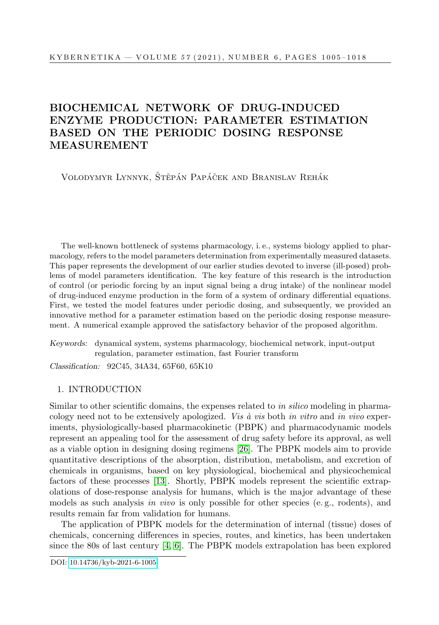# BIOCHEMICAL NETWORK OF DRUG-INDUCED ENZYME PRODUCTION: PARAMETER ESTIMATION BASED ON THE PERIODIC DOSING RESPONSE MEASUREMENT

VOLODYMYR LYNNYK, ŠTĚPÁN PAPÁČEK AND BRANISLAV REHÁK

The well-known bottleneck of systems pharmacology, i. e., systems biology applied to pharmacology, refers to the model parameters determination from experimentally measured datasets. This paper represents the development of our earlier studies devoted to inverse (ill-posed) problems of model parameters identification. The key feature of this research is the introduction of control (or periodic forcing by an input signal being a drug intake) of the nonlinear model of drug-induced enzyme production in the form of a system of ordinary differential equations. First, we tested the model features under periodic dosing, and subsequently, we provided an innovative method for a parameter estimation based on the periodic dosing response measurement. A numerical example approved the satisfactory behavior of the proposed algorithm.

Keywords: dynamical system, systems pharmacology, biochemical network, input-output regulation, parameter estimation, fast Fourier transform

Classification: 92C45, 34A34, 65F60, 65K10

# 1. INTRODUCTION

Similar to other scientific domains, the expenses related to in silico modeling in pharmacology need not to be extensively apologized. Vis  $\dot{a}$  vis both in vitro and in vivo experiments, physiologically-based pharmacokinetic (PBPK) and pharmacodynamic models represent an appealing tool for the assessment of drug safety before its approval, as well as a viable option in designing dosing regimens [\[26\]](#page-13-0). The PBPK models aim to provide quantitative descriptions of the absorption, distribution, metabolism, and excretion of chemicals in organisms, based on key physiological, biochemical and physicochemical factors of these processes [\[13\]](#page-12-0). Shortly, PBPK models represent the scientific extrapolations of dose-response analysis for humans, which is the major advantage of these models as such analysis in vivo is only possible for other species (e.g., rodents), and results remain far from validation for humans.

The application of PBPK models for the determination of internal (tissue) doses of chemicals, concerning differences in species, routes, and kinetics, has been undertaken since the 80s of last century [\[4,](#page-11-0) [6\]](#page-11-1). The PBPK models extrapolation has been explored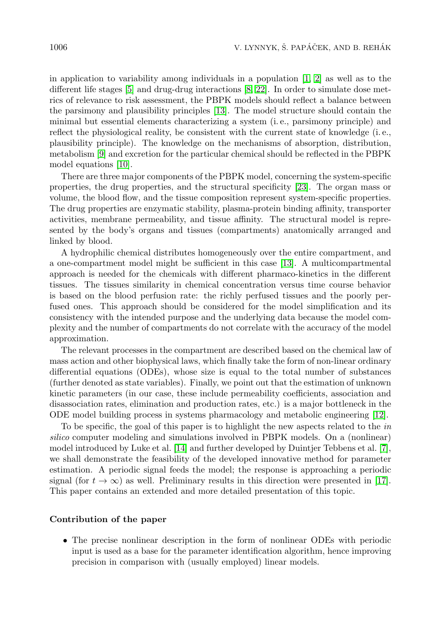in application to variability among individuals in a population  $[1, 2]$  $[1, 2]$  as well as to the different life stages [\[5\]](#page-11-4) and drug-drug interactions [\[8,](#page-11-5) [22\]](#page-12-1). In order to simulate dose metrics of relevance to risk assessment, the PBPK models should reflect a balance between the parsimony and plausibility principles [\[13\]](#page-12-0). The model structure should contain the minimal but essential elements characterizing a system (i. e., parsimony principle) and reflect the physiological reality, be consistent with the current state of knowledge (i. e., plausibility principle). The knowledge on the mechanisms of absorption, distribution, metabolism [\[9\]](#page-12-2) and excretion for the particular chemical should be reflected in the PBPK model equations [\[10\]](#page-12-3).

There are three major components of the PBPK model, concerning the system-specific properties, the drug properties, and the structural specificity [\[23\]](#page-12-4). The organ mass or volume, the blood flow, and the tissue composition represent system-specific properties. The drug properties are enzymatic stability, plasma-protein binding affinity, transporter activities, membrane permeability, and tissue affinity. The structural model is represented by the body's organs and tissues (compartments) anatomically arranged and linked by blood.

A hydrophilic chemical distributes homogeneously over the entire compartment, and a one-compartment model might be sufficient in this case [\[13\]](#page-12-0). A multicompartmental approach is needed for the chemicals with different pharmaco-kinetics in the different tissues. The tissues similarity in chemical concentration versus time course behavior is based on the blood perfusion rate: the richly perfused tissues and the poorly perfused ones. This approach should be considered for the model simplification and its consistency with the intended purpose and the underlying data because the model complexity and the number of compartments do not correlate with the accuracy of the model approximation.

The relevant processes in the compartment are described based on the chemical law of mass action and other biophysical laws, which finally take the form of non-linear ordinary differential equations (ODEs), whose size is equal to the total number of substances (further denoted as state variables). Finally, we point out that the estimation of unknown kinetic parameters (in our case, these include permeability coefficients, association and disassociation rates, elimination and production rates, etc.) is a major bottleneck in the ODE model building process in systems pharmacology and metabolic engineering [\[12\]](#page-12-5).

To be specific, the goal of this paper is to highlight the new aspects related to the in silico computer modeling and simulations involved in PBPK models. On a (nonlinear) model introduced by Luke et al. [\[14\]](#page-12-6) and further developed by Duintjer Tebbens et al. [\[7\]](#page-11-6), we shall demonstrate the feasibility of the developed innovative method for parameter estimation. A periodic signal feeds the model; the response is approaching a periodic signal (for  $t \to \infty$ ) as well. Preliminary results in this direction were presented in [\[17\]](#page-12-7). This paper contains an extended and more detailed presentation of this topic.

#### Contribution of the paper

• The precise nonlinear description in the form of nonlinear ODEs with periodic input is used as a base for the parameter identification algorithm, hence improving precision in comparison with (usually employed) linear models.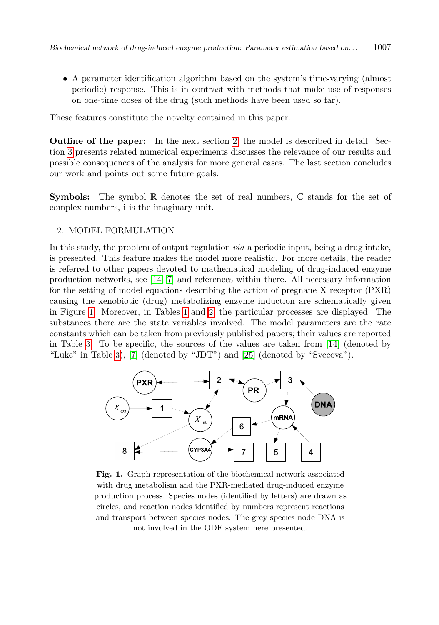• A parameter identification algorithm based on the system's time-varying (almost periodic) response. This is in contrast with methods that make use of responses on one-time doses of the drug (such methods have been used so far).

These features constitute the novelty contained in this paper.

Outline of the paper: In the next section [2,](#page-2-0) the model is described in detail. Section [3](#page-6-0) presents related numerical experiments discusses the relevance of our results and possible consequences of the analysis for more general cases. The last section concludes our work and points out some future goals.

**Symbols:** The symbol  $\mathbb R$  denotes the set of real numbers,  $\mathbb C$  stands for the set of complex numbers, i is the imaginary unit.

### <span id="page-2-0"></span>2. MODEL FORMULATION

In this study, the problem of output regulation via a periodic input, being a drug intake, is presented. This feature makes the model more realistic. For more details, the reader is referred to other papers devoted to mathematical modeling of drug-induced enzyme production networks, see [\[14,](#page-12-6) [7\]](#page-11-6) and references within there. All necessary information for the setting of model equations describing the action of pregnane X receptor (PXR) causing the xenobiotic (drug) metabolizing enzyme induction are schematically given in Figure [1](#page-2-1). Moreover, in Tables [1](#page-3-0) and [2](#page-3-1), the particular processes are displayed. The substances there are the state variables involved. The model parameters are the rate constants which can be taken from previously published papers; their values are reported in Table [3](#page-4-0). To be specific, the sources of the values are taken from [\[14\]](#page-12-6) (denoted by "Luke" in Table [3](#page-4-0)), [\[7\]](#page-11-6) (denoted by "JDT") and [\[25\]](#page-13-1) (denoted by "Svecova").



<span id="page-2-1"></span>Fig. 1. Graph representation of the biochemical network associated with drug metabolism and the PXR-mediated drug-induced enzyme production process. Species nodes (identified by letters) are drawn as circles, and reaction nodes identified by numbers represent reactions and transport between species nodes. The grey species node DNA is not involved in the ODE system here presented.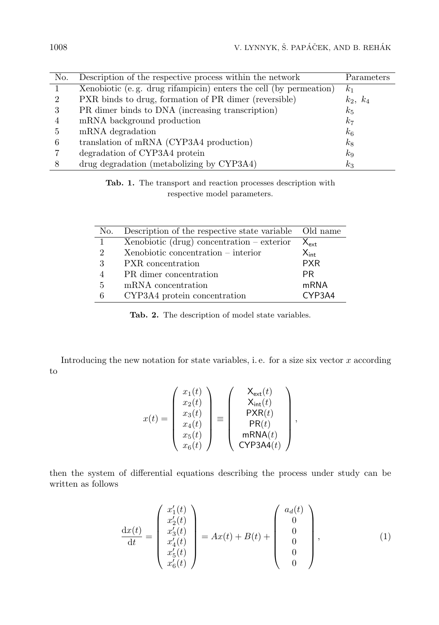| No.            | Description of the respective process within the network          | Parameters     |
|----------------|-------------------------------------------------------------------|----------------|
|                | Xenobiotic (e.g. drug rifampicin) enters the cell (by permeation) | k <sub>1</sub> |
| $\mathfrak{D}$ | PXR binds to drug, formation of PR dimer (reversible)             | $k_2, k_4$     |
| 3              | PR dimer binds to DNA (increasing transcription)                  | $k_5$          |
| 4              | mRNA background production                                        | k <sub>7</sub> |
| 5              | mRNA degradation                                                  | $k_6$          |
| 6              | translation of mRNA (CYP3A4 production)                           | $k_8$          |
|                | degradation of CYP3A4 protein                                     | $k_{9}$        |
| 8              | drug degradation (metabolizing by CYP3A4)                         | $k_3$          |

<span id="page-3-0"></span>Tab. 1. The transport and reaction processes description with respective model parameters.

| No.                         | Description of the respective state variable Old name |               |
|-----------------------------|-------------------------------------------------------|---------------|
|                             | Xenobiotic (drug) concentration $-$ exterior          | $X_{\sf ext}$ |
| $\mathcal{D}_{\mathcal{L}}$ | $Xenobiotic concentration - interior$                 | $X_{int}$     |
| 3                           | PXR concentration                                     | <b>PXR</b>    |
| 4                           | PR dimer concentration                                | PR.           |
| 5                           | mRNA concentration                                    | mRNA          |
| 6                           | CYP3A4 protein concentration                          | CYP3A4        |

<span id="page-3-1"></span>Tab. 2. The description of model state variables.

Introducing the new notation for state variables, i.e. for a size six vector  $x$  according to

$$
x(t) = \begin{pmatrix} x_1(t) \\ x_2(t) \\ x_3(t) \\ x_4(t) \\ x_5(t) \\ x_6(t) \end{pmatrix} \equiv \begin{pmatrix} X_{\text{ext}}(t) \\ X_{\text{int}}(t) \\ \text{PXR}(t) \\ \text{PR}(t) \\ \text{mRNA}(t) \\ \text{CYP3A4}(t) \end{pmatrix},
$$

then the system of differential equations describing the process under study can be written as follows

<span id="page-3-2"></span>
$$
\frac{dx(t)}{dt} = \begin{pmatrix} x_1'(t) \\ x_2'(t) \\ x_3'(t) \\ x_4'(t) \\ x_5'(t) \\ x_6'(t) \end{pmatrix} = Ax(t) + B(t) + \begin{pmatrix} a_d(t) \\ 0 \\ 0 \\ 0 \\ 0 \\ 0 \end{pmatrix}, \tag{1}
$$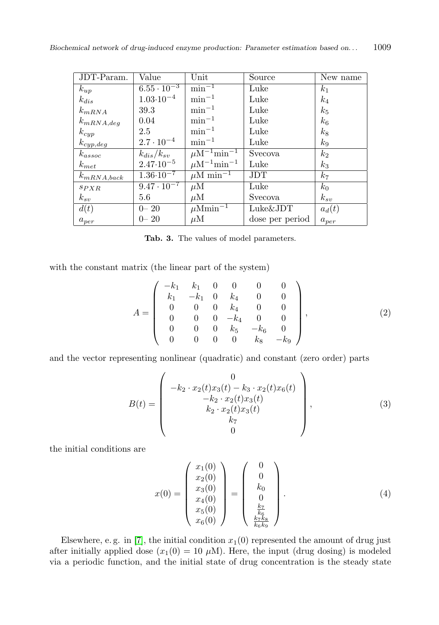| JDT-Param.      | Value                | Unit                                    | Source          | New name       |
|-----------------|----------------------|-----------------------------------------|-----------------|----------------|
| $k_{up}$        | $6.55 \cdot 10^{-3}$ | $\min^{-1}$                             | Luke            | k <sub>1</sub> |
| $k_{dis}$       | $1.03 \cdot 10^{-4}$ | $\min^{-1}$                             | Luke            | $k_{4}$        |
| $k_{mRNA}$      | 39.3                 | $\min^{-1}$                             | Luke            | $k_5$          |
| $k_{mRNA,deg}$  | 0.04                 | $\min^{-1}$                             | Luke            | $k_{\rm 6}$    |
| $k_{cyp}$       | 2.5                  | $\min^{-1}$                             | Luke            | $k_8$          |
| $k_{cyp,deg}$   | $2.7 \cdot 10^{-4}$  | $\min^{-1}$                             | Luke            | $k_{9}$        |
| $k_{assoc}$     | $k_{dis}/k_{sv}$     | $\mu$ M <sup>-1</sup> min <sup>-1</sup> | Svecova         | k <sub>2</sub> |
| $k_{met}$       | $2.47 \cdot 10^{-5}$ | $\mu$ M <sup>-1</sup> min <sup>-1</sup> | Luke            | $k_3$          |
| $k_{mRNA,back}$ | $1.36 \cdot 10^{-7}$ | $\mu$ M min <sup>-1</sup>               | JDT             | k <sub>7</sub> |
| SPXR            | $9.47 \cdot 10^{-7}$ | $\mu$ M                                 | Luke            | $k_0$          |
| $k_{sv}$        | 5.6                  | $\mu$ M                                 | <b>Svecova</b>  | $k_{sv}$       |
| d(t)            | $0 - 20$             | $\mu\overline{\mathrm{Mmin}^{-1}}$      | $Luke\&JDT$     | $a_d(t)$       |
| $a_{per}$       | $0 - 20$             | $\mu$ M                                 | dose per period | $a_{per}$      |

<span id="page-4-0"></span>Tab. 3. The values of model parameters.

with the constant matrix (the linear part of the system)

<span id="page-4-1"></span>
$$
A = \begin{pmatrix} -k_1 & k_1 & 0 & 0 & 0 & 0 \\ k_1 & -k_1 & 0 & k_4 & 0 & 0 \\ 0 & 0 & 0 & k_4 & 0 & 0 \\ 0 & 0 & 0 & -k_4 & 0 & 0 \\ 0 & 0 & 0 & k_5 & -k_6 & 0 \\ 0 & 0 & 0 & 0 & k_8 & -k_9 \end{pmatrix},
$$
(2)

and the vector representing nonlinear (quadratic) and constant (zero order) parts

<span id="page-4-2"></span>
$$
B(t) = \begin{pmatrix} 0 \\ -k_2 \cdot x_2(t)x_3(t) - k_3 \cdot x_2(t)x_6(t) \\ -k_2 \cdot x_2(t)x_3(t) \\ k_2 \cdot x_2(t)x_3(t) \\ k_7 \\ 0 \end{pmatrix}, \qquad (3)
$$

the initial conditions are

<span id="page-4-3"></span>
$$
x(0) = \begin{pmatrix} x_1(0) \\ x_2(0) \\ x_3(0) \\ x_4(0) \\ x_5(0) \\ x_6(0) \end{pmatrix} = \begin{pmatrix} 0 \\ 0 \\ k_0 \\ 0 \\ \frac{k_7}{k_6} \\ \frac{k_7k_8}{k_6k_9} \end{pmatrix} . \tag{4}
$$

Elsewhere, e.g. in [\[7\]](#page-11-6), the initial condition  $x_1(0)$  represented the amount of drug just after initially applied dose  $(x_1(0) = 10 \mu M)$ . Here, the input (drug dosing) is modeled via a periodic function, and the initial state of drug concentration is the steady state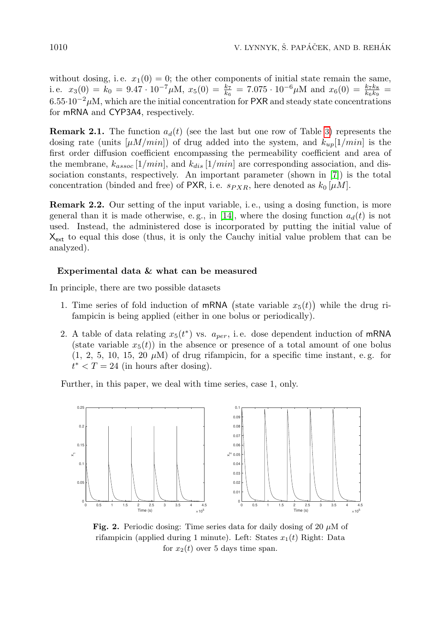without dosing, i.e.  $x_1(0) = 0$ ; the other components of initial state remain the same, i.e.  $x_3(0) = k_0 = 9.47 \cdot 10^{-7} \mu M$ ,  $x_5(0) = \frac{k_7}{k_6} = 7.075 \cdot 10^{-6} \mu M$  and  $x_6(0) = \frac{k_7 k_8}{k_6 k_9} =$  $6.55·10<sup>-2</sup>$ µM, which are the initial concentration for PXR and steady state concentrations for mRNA and CYP3A4, respectively.

**Remark 2.1.** The function  $a_d(t)$  (see the last but one row of Table [3](#page-4-0)) represents the dosing rate (units  $[\mu M/min]$ ) of drug added into the system, and  $k_{up}[1/min]$  is the first order diffusion coefficient encompassing the permeability coefficient and area of the membrane,  $k_{assoc}$  [1/min], and  $k_{dis}$  [1/min] are corresponding association, and dissociation constants, respectively. An important parameter (shown in [\[7\]](#page-11-6)) is the total concentration (binded and free) of PXR, i.e.  $s_{PXR}$ , here denoted as  $k_0 \left[ \mu M \right]$ .

**Remark 2.2.** Our setting of the input variable, i.e., using a dosing function, is more general than it is made otherwise, e.g., in [\[14\]](#page-12-6), where the dosing function  $a_d(t)$  is not used. Instead, the administered dose is incorporated by putting the initial value of  $X_{\text{ext}}$  to equal this dose (thus, it is only the Cauchy initial value problem that can be analyzed).

# Experimental data & what can be measured

In principle, there are two possible datasets

- 1. Time series of fold induction of mRNA (state variable  $x_5(t)$ ) while the drug rifampicin is being applied (either in one bolus or periodically).
- 2. A table of data relating  $x_5(t^*)$  vs.  $a_{per}$ , i.e. dose dependent induction of mRNA (state variable  $x_5(t)$ ) in the absence or presence of a total amount of one bolus  $(1, 2, 5, 10, 15, 20 \mu M)$  of drug rifampicin, for a specific time instant, e.g. for  $t^* < T = 24$  (in hours after dosing).

Further, in this paper, we deal with time series, case 1, only.



<span id="page-5-0"></span>**Fig. 2.** Periodic dosing: Time series data for daily dosing of 20  $\mu$ M of rifampicin (applied during 1 minute). Left: States  $x_1(t)$  Right: Data for  $x_2(t)$  over 5 days time span.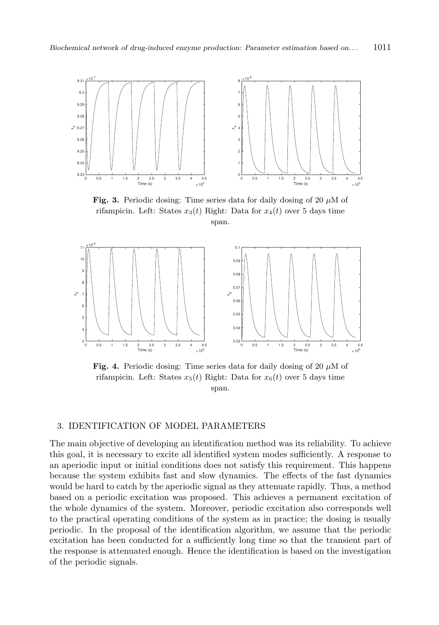

<span id="page-6-1"></span>Fig. 3. Periodic dosing: Time series data for daily dosing of 20  $\mu$ M of rifampicin. Left: States  $x_3(t)$  Right: Data for  $x_4(t)$  over 5 days time span.



<span id="page-6-2"></span>Fig. 4. Periodic dosing: Time series data for daily dosing of 20  $\mu$ M of rifampicin. Left: States  $x_5(t)$  Right: Data for  $x_6(t)$  over 5 days time span.

# <span id="page-6-0"></span>3. IDENTIFICATION OF MODEL PARAMETERS

The main objective of developing an identification method was its reliability. To achieve this goal, it is necessary to excite all identified system modes sufficiently. A response to an aperiodic input or initial conditions does not satisfy this requirement. This happens because the system exhibits fast and slow dynamics. The effects of the fast dynamics would be hard to catch by the aperiodic signal as they attenuate rapidly. Thus, a method based on a periodic excitation was proposed. This achieves a permanent excitation of the whole dynamics of the system. Moreover, periodic excitation also corresponds well to the practical operating conditions of the system as in practice; the dosing is usually periodic. In the proposal of the identification algorithm, we assume that the periodic excitation has been conducted for a sufficiently long time so that the transient part of the response is attenuated enough. Hence the identification is based on the investigation of the periodic signals.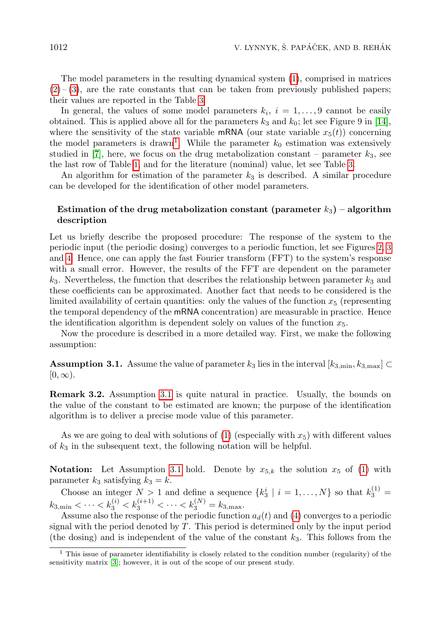The model parameters in the resulting dynamical system [\(1\)](#page-3-2), comprised in matrices  $(2)-(3)$  $(2)-(3)$  $(2)-(3)$ , are the rate constants that can be taken from previously published papers; their values are reported in the Table [3](#page-4-0).

In general, the values of some model parameters  $k_i$ ,  $i = 1, ..., 9$  cannot be easily obtained. This is applied above all for the parameters  $k_3$  and  $k_0$ ; let see Figure 9 in [\[14\]](#page-12-6), where the sensitivity of the state variable mRNA (our state variable  $x_5(t)$ ) concerning the model parameters is drawn<sup>[1](#page-7-0)</sup>. While the parameter  $k_0$  estimation was extensively studied in [\[7\]](#page-11-6), here, we focus on the drug metabolization constant – parameter  $k_3$ , see the last row of Table [1](#page-3-0), and for the literature (nominal) value, let see Table [3](#page-4-0).

An algorithm for estimation of the parameter  $k_3$  is described. A similar procedure can be developed for the identification of other model parameters.

# Estimation of the drug metabolization constant (parameter  $k_3$ ) – algorithm description

Let us briefly describe the proposed procedure: The response of the system to the periodic input (the periodic dosing) converges to a periodic function, let see Figures [2](#page-5-0), [3](#page-6-1) and [4](#page-6-2). Hence, one can apply the fast Fourier transform (FFT) to the system's response with a small error. However, the results of the FFT are dependent on the parameter  $k<sub>3</sub>$ . Nevertheless, the function that describes the relationship between parameter  $k<sub>3</sub>$  and these coefficients can be approximated. Another fact that needs to be considered is the limited availability of certain quantities: only the values of the function  $x_5$  (representing the temporal dependency of the mRNA concentration) are measurable in practice. Hence the identification algorithm is dependent solely on values of the function  $x_5$ .

Now the procedure is described in a more detailed way. First, we make the following assumption:

<span id="page-7-1"></span>**Assumption 3.1.** Assume the value of parameter  $k_3$  lies in the interval  $[k_{3,min}, k_{3,max}] \subset$  $[0, \infty)$ .

Remark 3.2. Assumption [3.1](#page-7-1) is quite natural in practice. Usually, the bounds on the value of the constant to be estimated are known; the purpose of the identification algorithm is to deliver a precise mode value of this parameter.

As we are going to deal with solutions of [\(1\)](#page-3-2) (especially with  $x_5$ ) with different values of  $k_3$  in the subsequent text, the following notation will be helpful.

**Notation:** Let Assumption [3.1](#page-7-1) hold. Denote by  $x_{5,k}$  the solution  $x_5$  of [\(1\)](#page-3-2) with parameter  $k_3$  satisfying  $k_3 = k$ .

Choose an integer  $N > 1$  and define a sequence  $\{k_3^i \mid i = 1, ..., N\}$  so that  $k_3^{(1)} =$  $k_{3,\text{min}} < \cdots < k_3^{(i)} < k_3^{(i+1)} < \cdots < k_3^{(N)} = k_{3,\text{max}}.$ 

Assume also the response of the periodic function  $a_d(t)$  and [\(4\)](#page-4-3) converges to a periodic signal with the period denoted by  $T$ . This period is determined only by the input period (the dosing) and is independent of the value of the constant  $k_3$ . This follows from the

<span id="page-7-0"></span><sup>1</sup> This issue of parameter identifiability is closely related to the condition number (regularity) of the sensitivity matrix [\[3\]](#page-11-7); however, it is out of the scope of our present study.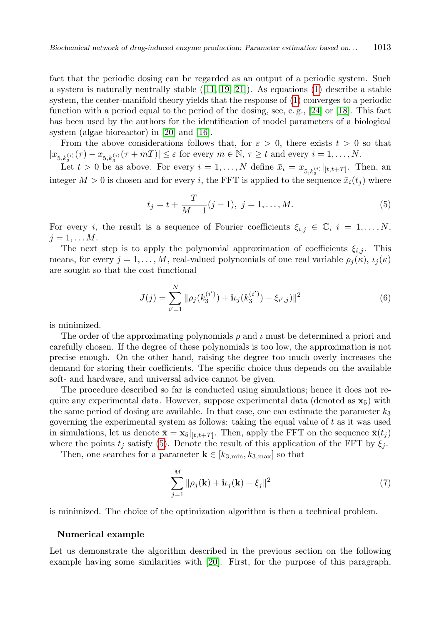fact that the periodic dosing can be regarded as an output of a periodic system. Such a system is naturally neutrally stable  $([11, 19, 21])$  $([11, 19, 21])$  $([11, 19, 21])$  $([11, 19, 21])$  $([11, 19, 21])$ . As equations  $(1)$  describe a stable system, the center-manifold theory yields that the response of [\(1\)](#page-3-2) converges to a periodic function with a period equal to the period of the dosing, see, e. g., [\[24\]](#page-12-11) or [\[18\]](#page-12-12). This fact has been used by the authors for the identification of model parameters of a biological system (algae bioreactor) in [\[20\]](#page-12-13) and [\[16\]](#page-12-14).

From the above considerations follows that, for  $\varepsilon > 0$ , there exists  $t > 0$  so that  $|x_{5,k_3^{(i)}}(\tau)-x_{5,k_3^{(i)}}(\tau+mT)|\leq \varepsilon$  for every  $m\in\mathbb{N},\,\tau\geq t$  and every  $i=1,\ldots,N.$ 

Let  $t > 0$  be as above. For every  $i = 1, ..., N$  define  $\bar{x}_i = x_{5,k_3^{(i)}}|_{[t,t+T]}$ . Then, an integer  $M > 0$  is chosen and for every i, the FFT is applied to the sequence  $\bar{x}_i(t_i)$  where

<span id="page-8-0"></span>
$$
t_j = t + \frac{T}{M-1}(j-1), \ j = 1, \dots, M.
$$
 (5)

For every *i*, the result is a sequence of Fourier coefficients  $\xi_{i,j} \in \mathbb{C}, i = 1, \ldots, N$ ,  $j=1,\ldots M$ .

The next step is to apply the polynomial approximation of coefficients  $\xi_{i,j}$ . This means, for every  $j = 1, ..., M$ , real-valued polynomials of one real variable  $\rho_j(\kappa)$ ,  $\iota_j(\kappa)$ are sought so that the cost functional

$$
J(j) = \sum_{i'=1}^{N} \|\rho_j(k_3^{(i')} ) + \mathbf{i} \iota_j(k_3^{(i')} ) - \xi_{i',j})\|^2
$$
 (6)

is minimized.

The order of the approximating polynomials  $\rho$  and  $\iota$  must be determined a priori and carefully chosen. If the degree of these polynomials is too low, the approximation is not precise enough. On the other hand, raising the degree too much overly increases the demand for storing their coefficients. The specific choice thus depends on the available soft- and hardware, and universal advice cannot be given.

The procedure described so far is conducted using simulations; hence it does not require any experimental data. However, suppose experimental data (denoted as  $\mathbf{x}_5$ ) with the same period of dosing are available. In that case, one can estimate the parameter  $k_3$ governing the experimental system as follows: taking the equal value of  $t$  as it was used in simulations, let us denote  $\bar{\mathbf{x}} = \mathbf{x}_5|_{[t,t+T]}$ . Then, apply the FFT on the sequence  $\bar{\mathbf{x}}(t_j)$ where the points  $t_j$  satisfy [\(5\)](#page-8-0). Denote the result of this application of the FFT by  $\xi_j$ .

Then, one searches for a parameter  $\mathbf{k} \in [k_{3,min}, k_{3,max}]$  so that

<span id="page-8-1"></span>
$$
\sum_{j=1}^{M} \|\rho_j(\mathbf{k}) + \mathbf{i}\iota_j(\mathbf{k}) - \xi_j\|^2 \tag{7}
$$

is minimized. The choice of the optimization algorithm is then a technical problem.

#### Numerical example

Let us demonstrate the algorithm described in the previous section on the following example having some similarities with [\[20\]](#page-12-13). First, for the purpose of this paragraph,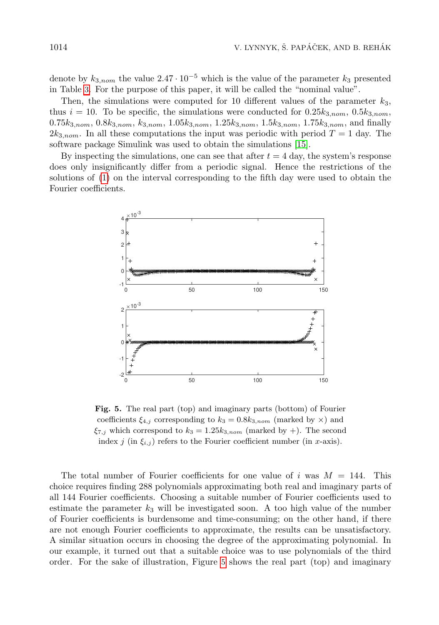denote by  $k_{3,nom}$  the value  $2.47 \cdot 10^{-5}$  which is the value of the parameter  $k_3$  presented in Table [3](#page-4-0). For the purpose of this paper, it will be called the "nominal value".

Then, the simulations were computed for 10 different values of the parameter  $k_3$ , thus  $i = 10$ . To be specific, the simulations were conducted for  $0.25k_{3,nom}$ ,  $0.5k_{3,nom}$ ,  $0.75k_{3,nom}$ ,  $0.8k_{3,nom}$ ,  $k_{3,nom}$ ,  $1.05k_{3,nom}$ ,  $1.25k_{3,nom}$ ,  $1.5k_{3,nom}$ ,  $1.75k_{3,nom}$ , and finally  $2k_{3,nom}$ . In all these computations the input was periodic with period  $T = 1$  day. The software package Simulink was used to obtain the simulations [\[15\]](#page-12-15).

By inspecting the simulations, one can see that after  $t = 4$  day, the system's response does only insignificantly differ from a periodic signal. Hence the restrictions of the solutions of [\(1\)](#page-3-2) on the interval corresponding to the fifth day were used to obtain the Fourier coefficients.



<span id="page-9-0"></span>Fig. 5. The real part (top) and imaginary parts (bottom) of Fourier coefficients  $\xi_{4,j}$  corresponding to  $k_3 = 0.8k_{3,nom}$  (marked by  $\times$ ) and  $\xi_{7,j}$  which correspond to  $k_3 = 1.25k_{3,nom}$  (marked by +). The second index j (in  $\xi_{i,j}$ ) refers to the Fourier coefficient number (in x-axis).

The total number of Fourier coefficients for one value of i was  $M = 144$ . This choice requires finding 288 polynomials approximating both real and imaginary parts of all 144 Fourier coefficients. Choosing a suitable number of Fourier coefficients used to estimate the parameter  $k_3$  will be investigated soon. A too high value of the number of Fourier coefficients is burdensome and time-consuming; on the other hand, if there are not enough Fourier coefficients to approximate, the results can be unsatisfactory. A similar situation occurs in choosing the degree of the approximating polynomial. In our example, it turned out that a suitable choice was to use polynomials of the third order. For the sake of illustration, Figure [5](#page-9-0) shows the real part (top) and imaginary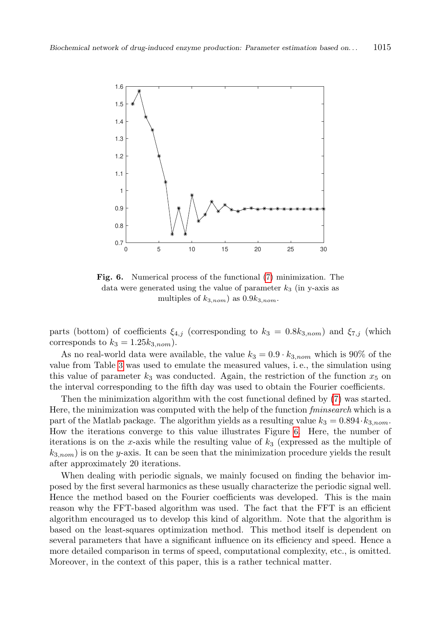

<span id="page-10-0"></span>Fig. 6. Numerical process of the functional [\(7\)](#page-8-1) minimization. The data were generated using the value of parameter  $k_3$  (in y-axis as multiples of  $k_{3,nom}$  as  $0.9k_{3,nom}$ .

parts (bottom) of coefficients  $\xi_{4,j}$  (corresponding to  $k_3 = 0.8k_{3,nom}$ ) and  $\xi_{7,j}$  (which corresponds to  $k_3 = 1.25 k_{3,nom}$ .

As no real-world data were available, the value  $k_3 = 0.9 \cdot k_{3,nom}$  which is 90% of the value from Table [3](#page-4-0) was used to emulate the measured values, i. e., the simulation using this value of parameter  $k_3$  was conducted. Again, the restriction of the function  $x_5$  on the interval corresponding to the fifth day was used to obtain the Fourier coefficients.

Then the minimization algorithm with the cost functional defined by [\(7\)](#page-8-1) was started. Here, the minimization was computed with the help of the function *fminsearch* which is a part of the Matlab package. The algorithm yields as a resulting value  $k_3 = 0.894 \cdot k_{3,nom}$ . How the iterations converge to this value illustrates Figure [6](#page-10-0). Here, the number of iterations is on the x-axis while the resulting value of  $k<sub>3</sub>$  (expressed as the multiple of  $k_{3,nom}$ ) is on the y-axis. It can be seen that the minimization procedure yields the result after approximately 20 iterations.

When dealing with periodic signals, we mainly focused on finding the behavior imposed by the first several harmonics as these usually characterize the periodic signal well. Hence the method based on the Fourier coefficients was developed. This is the main reason why the FFT-based algorithm was used. The fact that the FFT is an efficient algorithm encouraged us to develop this kind of algorithm. Note that the algorithm is based on the least-squares optimization method. This method itself is dependent on several parameters that have a significant influence on its efficiency and speed. Hence a more detailed comparison in terms of speed, computational complexity, etc., is omitted. Moreover, in the context of this paper, this is a rather technical matter.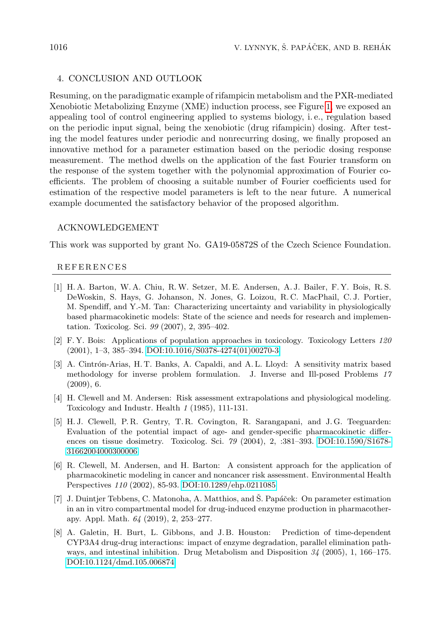### 4. CONCLUSION AND OUTLOOK

Resuming, on the paradigmatic example of rifampicin metabolism and the PXR-mediated Xenobiotic Metabolizing Enzyme (XME) induction process, see Figure [1](#page-2-1), we exposed an appealing tool of control engineering applied to systems biology, i. e., regulation based on the periodic input signal, being the xenobiotic (drug rifampicin) dosing. After testing the model features under periodic and nonrecurring dosing, we finally proposed an innovative method for a parameter estimation based on the periodic dosing response measurement. The method dwells on the application of the fast Fourier transform on the response of the system together with the polynomial approximation of Fourier coefficients. The problem of choosing a suitable number of Fourier coefficients used for estimation of the respective model parameters is left to the near future. A numerical example documented the satisfactory behavior of the proposed algorithm.

## ACKNOWLEDGEMENT

This work was supported by grant No. GA19-05872S of the Czech Science Foundation.

#### R E F E R E N C E S

- <span id="page-11-2"></span>[1] H. A. Barton, W. A. Chiu, R.W. Setzer, M. E. Andersen, A. J. Bailer, F. Y. Bois, R. S. DeWoskin, S. Hays, G. Johanson, N. Jones, G. Loizou, R. C. MacPhail, C. J. Portier, M. Spendiff, and Y.-M. Tan: Characterizing uncertainty and variability in physiologically based pharmacokinetic models: State of the science and needs for research and implementation. Toxicolog. Sci. 99 (2007), 2, 395–402.
- <span id="page-11-3"></span>[2] F. Y. Bois: Applications of population approaches in toxicology. Toxicology Letters 120 (2001), 1–3, 385–394. [DOI:10.1016/S0378-4274\(01\)00270-3](https://doi.org/10.1016/S0378-4274(01)00270-3)
- <span id="page-11-7"></span>[3] A. Cintrón-Arias, H. T. Banks, A. Capaldi, and A. L. Lloyd: A sensitivity matrix based methodology for inverse problem formulation. J. Inverse and Ill-posed Problems 17 (2009), 6.
- <span id="page-11-0"></span>[4] H. Clewell and M. Andersen: Risk assessment extrapolations and physiological modeling. Toxicology and Industr. Health 1 (1985), 111-131.
- <span id="page-11-4"></span>[5] H. J. Clewell, P. R. Gentry, T. R. Covington, R. Sarangapani, and J. G. Teeguarden: Evaluation of the potential impact of age- and gender-specific pharmacokinetic differences on tissue dosimetry. Toxicolog. Sci. 79 (2004), 2, :381–393. [DOI:10.1590/S1678-](https://doi.org/10.1590/S1678-31662004000300006) [31662004000300006](https://doi.org/10.1590/S1678-31662004000300006)
- <span id="page-11-1"></span>[6] R. Clewell, M. Andersen, and H. Barton: A consistent approach for the application of pharmacokinetic modeling in cancer and noncancer risk assessment. Environmental Health Perspectives 110 (2002), 85-93. [DOI:10.1289/ehp.0211085](https://doi.org/10.1289/ehp.0211085)
- <span id="page-11-6"></span>[7] J. Duintjer Tebbens, C. Matonoha, A. Matthios, and Š. Papáček: On parameter estimation in an in vitro compartmental model for drug-induced enzyme production in pharmacotherapy. Appl. Math. 64 (2019), 2, 253–277.
- <span id="page-11-5"></span>[8] A. Galetin, H. Burt, L. Gibbons, and J. B. Houston: Prediction of time-dependent CYP3A4 drug-drug interactions: impact of enzyme degradation, parallel elimination pathways, and intestinal inhibition. Drug Metabolism and Disposition  $\beta$ 4 (2005), 1, 166–175. [DOI:10.1124/dmd.105.006874](https://doi.org/10.1124/dmd.105.006874)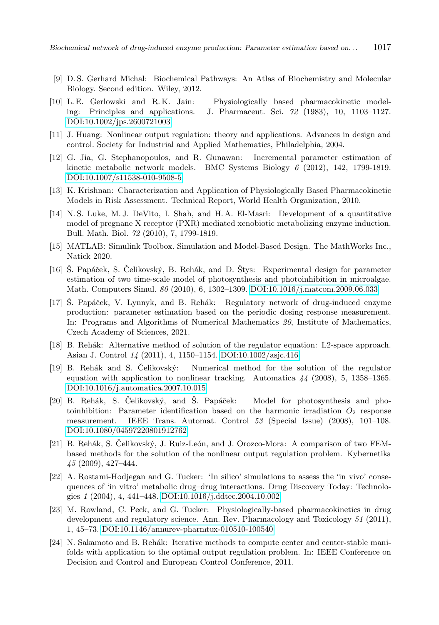- <span id="page-12-2"></span>[9] D. S. Gerhard Michal: Biochemical Pathways: An Atlas of Biochemistry and Molecular Biology. Second edition. Wiley, 2012.
- <span id="page-12-3"></span>[10] L. E. Gerlowski and R. K. Jain: Physiologically based pharmacokinetic modeling: Principles and applications. J. Pharmaceut. Sci. 72 (1983), 10, 1103–1127. [DOI:10.1002/jps.2600721003](https://doi.org/10.1002/jps.2600721003)
- <span id="page-12-8"></span>[11] J. Huang: Nonlinear output regulation: theory and applications. Advances in design and control. Society for Industrial and Applied Mathematics, Philadelphia, 2004.
- <span id="page-12-5"></span>[12] G. Jia, G. Stephanopoulos, and R. Gunawan: Incremental parameter estimation of kinetic metabolic network models. BMC Systems Biology 6 (2012), 142, 1799-1819. [DOI:10.1007/s11538-010-9508-5](https://doi.org/10.1007/s11538-010-9508-5)
- <span id="page-12-0"></span>[13] K. Krishnan: Characterization and Application of Physiologically Based Pharmacokinetic Models in Risk Assessment. Technical Report, World Health Organization, 2010.
- <span id="page-12-6"></span>[14] N. S. Luke, M. J. DeVito, I. Shah, and H. A. El-Masri: Development of a quantitative model of pregnane X receptor (PXR) mediated xenobiotic metabolizing enzyme induction. Bull. Math. Biol. 72 (2010), 7, 1799-1819.
- <span id="page-12-15"></span>[15] MATLAB: Simulink Toolbox. Simulation and Model-Based Design. The MathWorks Inc., Natick 2020.
- <span id="page-12-14"></span>[16] S. Papáček, S. Čelikovský, B. Rehák, and D. Štys: Experimental design for parameter estimation of two time-scale model of photosynthesis and photoinhibition in microalgae. Math. Computers Simul. 80 (2010), 6, 1302–1309. [DOI:10.1016/j.matcom.2009.06.033](https://doi.org/10.1016/j.matcom.2009.06.033)
- <span id="page-12-7"></span>[17] S. Papáček, V. Lynnyk, and B. Rehák: Regulatory network of drug-induced enzyme production: parameter estimation based on the periodic dosing response measurement. In: Programs and Algorithms of Numerical Mathematics 20, Institute of Mathematics, Czech Academy of Sciences, 2021.
- <span id="page-12-12"></span>[18] B. Rehák: Alternative method of solution of the regulator equation: L2-space approach. Asian J. Control 14 (2011), 4, 1150–1154. [DOI:10.1002/asjc.416](https://doi.org/10.1002/asjc.416)
- <span id="page-12-9"></span> $[19]$  B. Rehák and S. Čelikovský: Numerical method for the solution of the regulator equation with application to nonlinear tracking. Automatica 44 (2008), 5, 1358–1365. [DOI:10.1016/j.automatica.2007.10.015](https://doi.org/10.1016/j.automatica.2007.10.015)
- <span id="page-12-13"></span>[20] B. Rehák, S. Čelikovský, and Š. Papáček: Model for photosynthesis and photoinhibition: Parameter identification based on the harmonic irradiation  $O_2$  response measurement. IEEE Trans. Automat. Control 53 (Special Issue) (2008), 101–108. [DOI:10.1080/04597220801912762](https://doi.org/10.1080/04597220801912762)
- <span id="page-12-10"></span>[21] B. Rehák, S. Čelikovský, J. Ruiz-León, and J. Orozco-Mora: A comparison of two FEMbased methods for the solution of the nonlinear output regulation problem. Kybernetika 45 (2009), 427–444.
- <span id="page-12-1"></span>[22] A. Rostami-Hodjegan and G. Tucker: 'In silico' simulations to assess the 'in vivo' consequences of 'in vitro' metabolic drug–drug interactions. Drug Discovery Today: Technologies 1 (2004), 4, 441–448. [DOI:10.1016/j.ddtec.2004.10.002](https://doi.org/10.1016/j.ddtec.2004.10.002)
- <span id="page-12-4"></span>[23] M. Rowland, C. Peck, and G. Tucker: Physiologically-based pharmacokinetics in drug development and regulatory science. Ann. Rev. Pharmacology and Toxicology 51 (2011), 1, 45–73. [DOI:10.1146/annurev-pharmtox-010510-100540](https://doi.org/10.1146/annurev-pharmtox-010510-100540)
- <span id="page-12-11"></span>[24] N. Sakamoto and B. Rehák: Iterative methods to compute center and center-stable manifolds with application to the optimal output regulation problem. In: IEEE Conference on Decision and Control and European Control Conference, 2011.